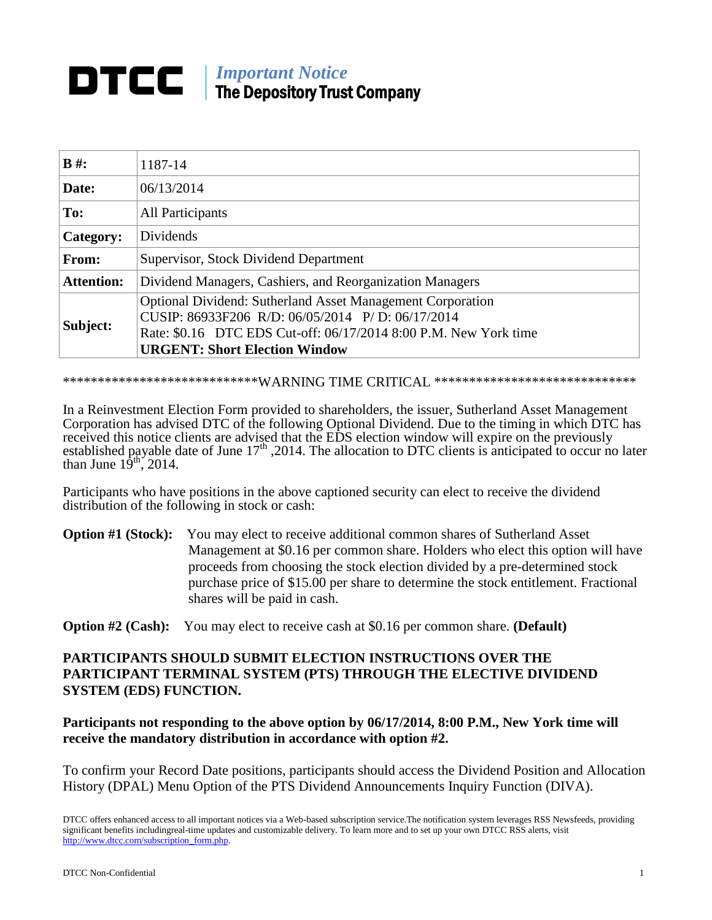## *Important Notice* The Depository Trust Company

| $B \#$ :          | 1187-14                                                                                                                                                                                                                           |
|-------------------|-----------------------------------------------------------------------------------------------------------------------------------------------------------------------------------------------------------------------------------|
| Date:             | 06/13/2014                                                                                                                                                                                                                        |
| To:               | <b>All Participants</b>                                                                                                                                                                                                           |
| Category:         | Dividends                                                                                                                                                                                                                         |
| From:             | Supervisor, Stock Dividend Department                                                                                                                                                                                             |
| <b>Attention:</b> | Dividend Managers, Cashiers, and Reorganization Managers                                                                                                                                                                          |
| Subject:          | <b>Optional Dividend: Sutherland Asset Management Corporation</b><br>CUSIP: 86933F206 R/D: 06/05/2014 P/D: 06/17/2014<br>Rate: \$0.16 DTC EDS Cut-off: 06/17/2014 8:00 P.M. New York time<br><b>URGENT: Short Election Window</b> |

\*\*\*\*\*\*\*\*\*\*\*\*\*\*\*\*\*\*\*\*\*\*\*\*\*\*\*\*\*WARNING TIME CRITICAL \*\*\*\*\*\*\*\*\*\*\*\*\*\*\*\*\*\*\*\*\*\*\*\*\*\*\*\*\*

In a Reinvestment Election Form provided to shareholders, the issuer, Sutherland Asset Management Corporation has advised DTC of the following Optional Dividend. Due to the timing in which DTC has received this notice clients are advised that the EDS election window will expire on the previously established payable date of June 17<sup>th</sup>, 2014. The allocation to DTC clients is anticipated to occur no later than June  $19<sup>th</sup>$ , 2014.

Participants who have positions in the above captioned security can elect to receive the dividend distribution of the following in stock or cash:

**Option #1 (Stock):** You may elect to receive additional common shares of Sutherland Asset Management at \$0.16 per common share. Holders who elect this option will have proceeds from choosing the stock election divided by a pre-determined stock purchase price of \$15.00 per share to determine the stock entitlement. Fractional shares will be paid in cash.

**Option #2 (Cash):** You may elect to receive cash at \$0.16 per common share. **(Default)**

## **PARTICIPANTS SHOULD SUBMIT ELECTION INSTRUCTIONS OVER THE PARTICIPANT TERMINAL SYSTEM (PTS) THROUGH THE ELECTIVE DIVIDEND SYSTEM (EDS) FUNCTION.**

## **Participants not responding to the above option by 06/17/2014, 8:00 P.M., New York time will receive the mandatory distribution in accordance with option #2.**

To confirm your Record Date positions, participants should access the Dividend Position and Allocation History (DPAL) Menu Option of the PTS Dividend Announcements Inquiry Function (DIVA).

DTCC offers enhanced access to all important notices via a Web-based subscription service.The notification system leverages RSS Newsfeeds, providing significant benefits includingreal-time updates and customizable delivery. To learn more and to set up your own DTCC RSS alerts, visit http://www.dtcc.com/subscription\_form.php.